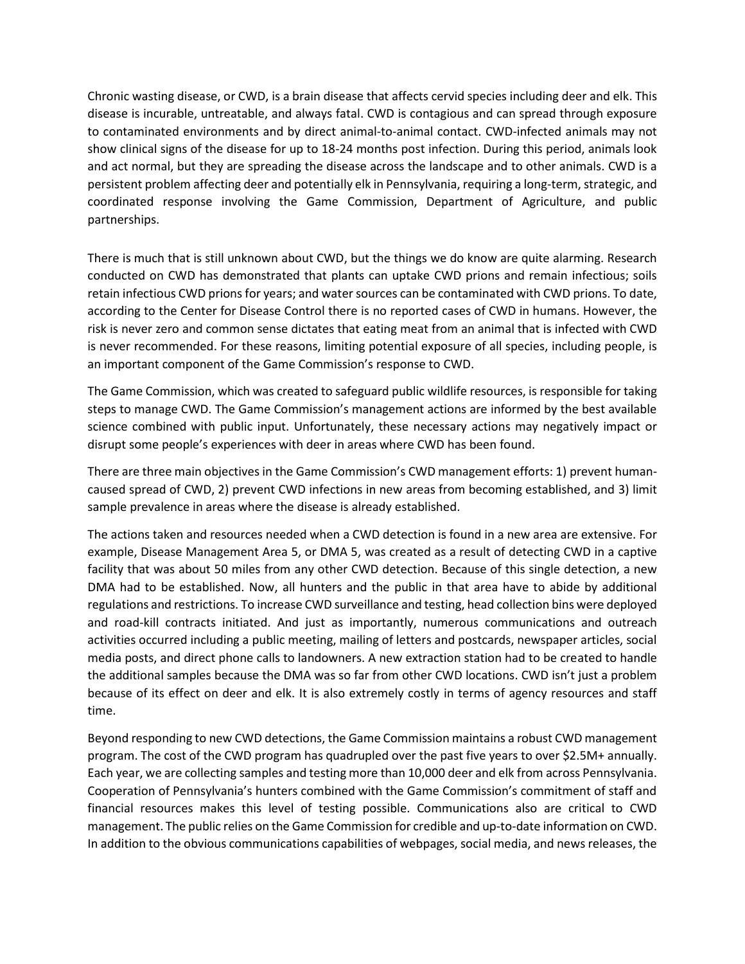Chronic wasting disease, or CWD, is a brain disease that affects cervid species including deer and elk. This disease is incurable, untreatable, and always fatal. CWD is contagious and can spread through exposure to contaminated environments and by direct animal-to-animal contact. CWD-infected animals may not show clinical signs of the disease for up to 18-24 months post infection. During this period, animals look and act normal, but they are spreading the disease across the landscape and to other animals. CWD is a persistent problem affecting deer and potentially elk in Pennsylvania, requiring a long-term, strategic, and coordinated response involving the Game Commission, Department of Agriculture, and public partnerships.

There is much that is still unknown about CWD, but the things we do know are quite alarming. Research conducted on CWD has demonstrated that plants can uptake CWD prions and remain infectious; soils retain infectious CWD prions for years; and water sources can be contaminated with CWD prions. To date, according to the Center for Disease Control there is no reported cases of CWD in humans. However, the risk is never zero and common sense dictates that eating meat from an animal that is infected with CWD is never recommended. For these reasons, limiting potential exposure of all species, including people, is an important component of the Game Commission's response to CWD.

The Game Commission, which was created to safeguard public wildlife resources, is responsible for taking steps to manage CWD. The Game Commission's management actions are informed by the best available science combined with public input. Unfortunately, these necessary actions may negatively impact or disrupt some people's experiences with deer in areas where CWD has been found.

There are three main objectives in the Game Commission's CWD management efforts: 1) prevent humancaused spread of CWD, 2) prevent CWD infections in new areas from becoming established, and 3) limit sample prevalence in areas where the disease is already established.

The actions taken and resources needed when a CWD detection is found in a new area are extensive. For example, Disease Management Area 5, or DMA 5, was created as a result of detecting CWD in a captive facility that was about 50 miles from any other CWD detection. Because of this single detection, a new DMA had to be established. Now, all hunters and the public in that area have to abide by additional regulations and restrictions. To increase CWD surveillance and testing, head collection bins were deployed and road-kill contracts initiated. And just as importantly, numerous communications and outreach activities occurred including a public meeting, mailing of letters and postcards, newspaper articles, social media posts, and direct phone calls to landowners. A new extraction station had to be created to handle the additional samples because the DMA was so far from other CWD locations. CWD isn't just a problem because of its effect on deer and elk. It is also extremely costly in terms of agency resources and staff time.

Beyond responding to new CWD detections, the Game Commission maintains a robust CWD management program. The cost of the CWD program has quadrupled over the past five years to over \$2.5M+ annually. Each year, we are collecting samples and testing more than 10,000 deer and elk from across Pennsylvania. Cooperation of Pennsylvania's hunters combined with the Game Commission's commitment of staff and financial resources makes this level of testing possible. Communications also are critical to CWD management. The public relies on the Game Commission for credible and up-to-date information on CWD. In addition to the obvious communications capabilities of webpages, social media, and news releases, the